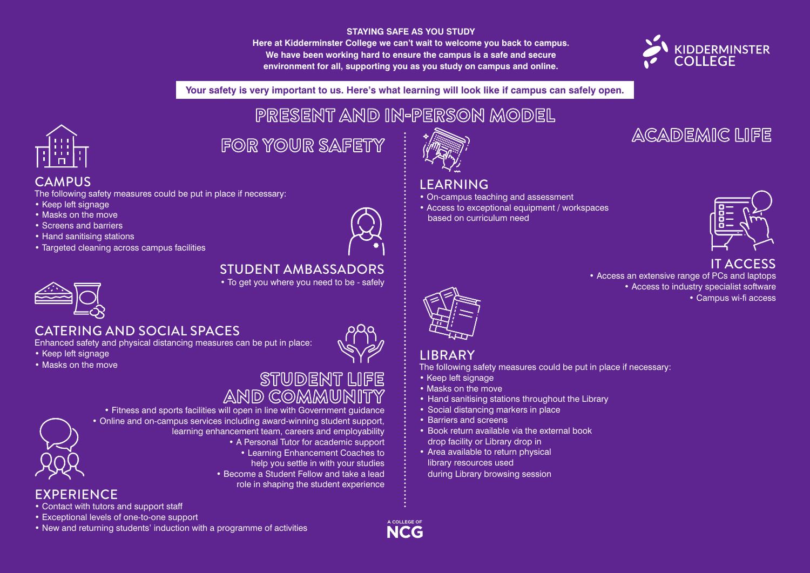#### **STAYING SAFE AS YOU STUDY**

**Here at Kidderminster College we can't wait to welcome you back to campus. We have been working hard to ensure the campus is a safe and secure environment for all, supporting you as you study on campus and online.**



ACADEMIC LIFE

**Your safety is very important to us. Here's what learning will look like if campus can safely open.**

PRESENT AND IN-PERSON MODEL



**CAMPUS** 

• Keep left signage • Masks on the move • Screens and barriers • Hand sanitising stations

## FOR YOUR SAFETY

#### • On-campus teaching and assessment



#### IT ACCESS

• Access an extensive range of PCs and laptops • Access to industry specialist software • Campus wi-fi access



#### CATERING AND SOCIAL SPACES

• Targeted cleaning across campus facilities

Enhanced safety and physical distancing measures can be put in place:

The following safety measures could be put in place if necessary:

- Keep left signage
- Masks on the move



#### STUDENT LIFE AND COMMUNITY

#### • Online and on-campus services including award-winning student support, learning enhancement team, careers and employability • A Personal Tutor for academic support • Learning Enhancement Coaches to help you settle in with your studies • Become a Student Fellow and take a lead role in shaping the student experience

**EXPERIENCE** 

• Contact with tutors and support staff

• Exceptional levels of one-to-one support

• New and returning students' induction with a programme of activities

• Fitness and sports facilities will open in line with Government guidance The following safety measures could be put in place if necessary: • Keep left signage • Masks on the move • Hand sanitising stations throughout the Library • Social distancing markers in place



A COLLEGE OF **NCG** 

LEARNING

• Access to exceptional equipment / workspaces based on curriculum need



# LIBRARY

• Barriers and screens

• Book return available via the external book

drop facility or Library drop in • Area available to return physical library resources used

during Library browsing session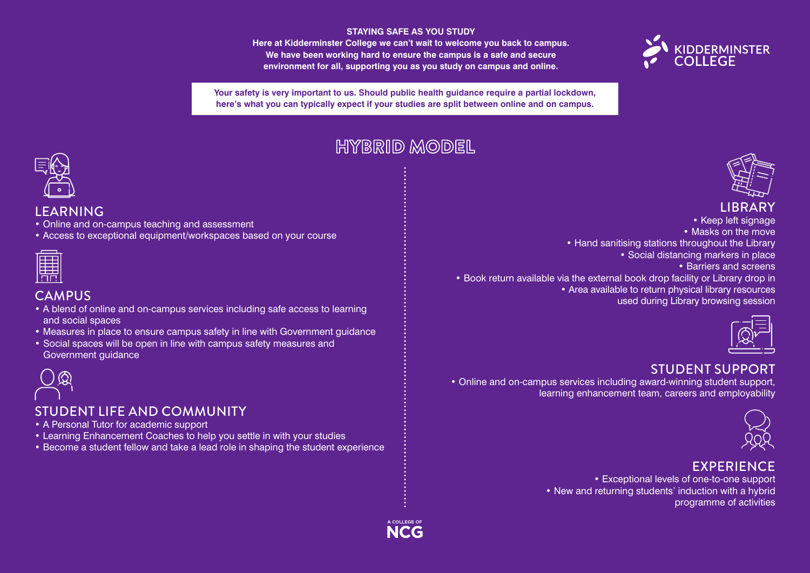#### **STAYING SAFE AS YOU STUDY**

**Here at Kidderminster College we can't wait to welcome you back to campus. We have been working hard to ensure the campus is a safe and secure environment for all, supporting you as you study on campus and online.**



**Your safety is very important to us. Should public health guidance require a partial lockdown, here's what you can typically expect if your studies are split between online and on campus.**

## HYBRID MODEL



#### LEARNING

- Online and on-campus teaching and assessment
- Access to exceptional equipment/workspaces based on your course

#### **CAMPUS**

- A blend of online and on-campus services including safe access to learning and social spaces
- Measures in place to ensure campus safety in line with Government guidance
- Social spaces will be open in line with campus safety measures and Government guidance



#### STUDENT LIFE AND COMMUNITY

- A Personal Tutor for academic support
- Learning Enhancement Coaches to help you settle in with your studies
- Become a student fellow and take a lead role in shaping the student experience



#### LIBRARY

• Keep left signage • Masks on the move • Hand sanitising stations throughout the Library • Social distancing markers in place • Barriers and screens

• Book return available via the external book drop facility or Library drop in • Area available to return physical library resources used during Library browsing session



#### STUDENT SUPPORT

• Online and on-campus services including award-winning student support, learning enhancement team, careers and employability



#### **EXPERIENCE**

• Exceptional levels of one-to-one support • New and returning students' induction with a hybrid programme of activities